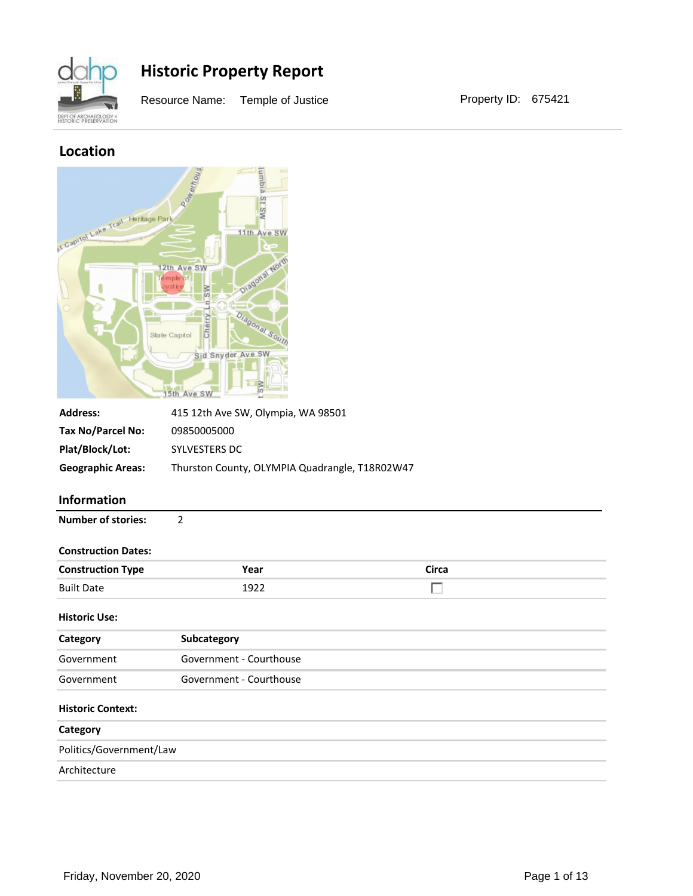

Resource Name: Temple of Justice **Property ID: 675421** 

### **Location**



| <b>Address:</b>          | 415 12th Ave SW, Olympia, WA 98501             |
|--------------------------|------------------------------------------------|
| Tax No/Parcel No:        | 09850005000                                    |
| Plat/Block/Lot:          | SYLVESTERS DC                                  |
| <b>Geographic Areas:</b> | Thurston County, OLYMPIA Quadrangle, T18R02W47 |

#### **Information**

| <b>Number of stories:</b> |  |
|---------------------------|--|
|---------------------------|--|

#### **Construction Dates:**

| <b>Construction Type</b> | Year  | Circa |
|--------------------------|-------|-------|
| <b>Built Date</b>        | ־97 آ |       |

#### **Historic Use:**

| Category                 | Subcategory             |
|--------------------------|-------------------------|
| Government               | Government - Courthouse |
| Government               | Government - Courthouse |
| <b>Historic Context:</b> |                         |
| $\sim$ $\sim$            |                         |

## **Category** Politics/Government/Law Architecture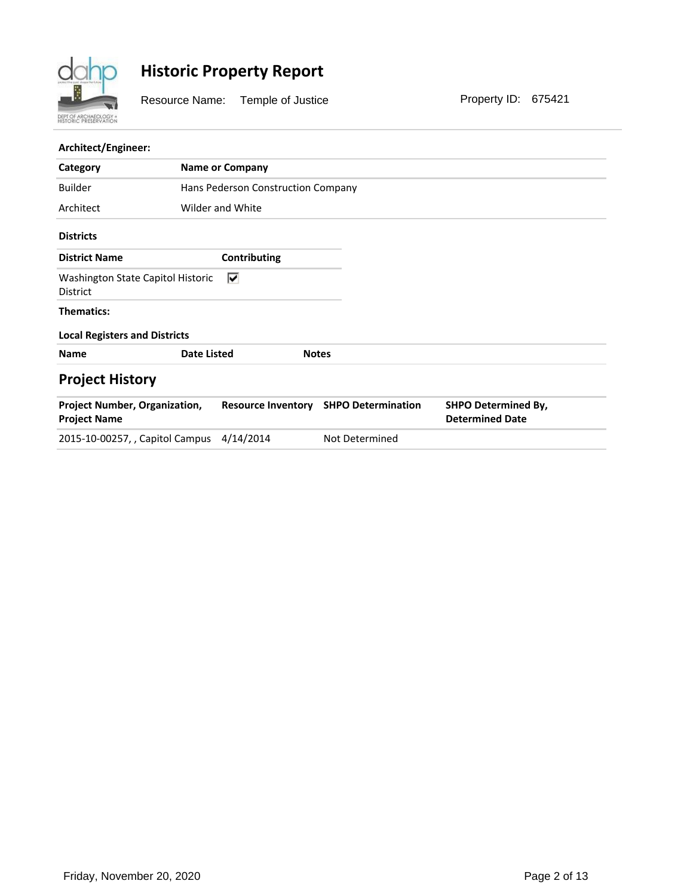

Resource Name: Temple of Justice **Property ID: 675421** 

#### **Architect/Engineer:**

| Category                                                    | <b>Name or Company</b>             |                           |                                                      |
|-------------------------------------------------------------|------------------------------------|---------------------------|------------------------------------------------------|
| <b>Builder</b>                                              | Hans Pederson Construction Company |                           |                                                      |
| Architect                                                   | Wilder and White                   |                           |                                                      |
| <b>Districts</b>                                            |                                    |                           |                                                      |
| <b>District Name</b>                                        | Contributing                       |                           |                                                      |
| Washington State Capitol Historic<br><b>District</b>        | ⊽                                  |                           |                                                      |
| <b>Thematics:</b>                                           |                                    |                           |                                                      |
| <b>Local Registers and Districts</b>                        |                                    |                           |                                                      |
| <b>Name</b>                                                 | <b>Date Listed</b>                 | <b>Notes</b>              |                                                      |
| <b>Project History</b>                                      |                                    |                           |                                                      |
| <b>Project Number, Organization,</b><br><b>Project Name</b> | <b>Resource Inventory</b>          | <b>SHPO Determination</b> | <b>SHPO Determined By,</b><br><b>Determined Date</b> |
| 2015-10-00257, , Capitol Campus                             | 4/14/2014                          | Not Determined            |                                                      |
|                                                             |                                    |                           |                                                      |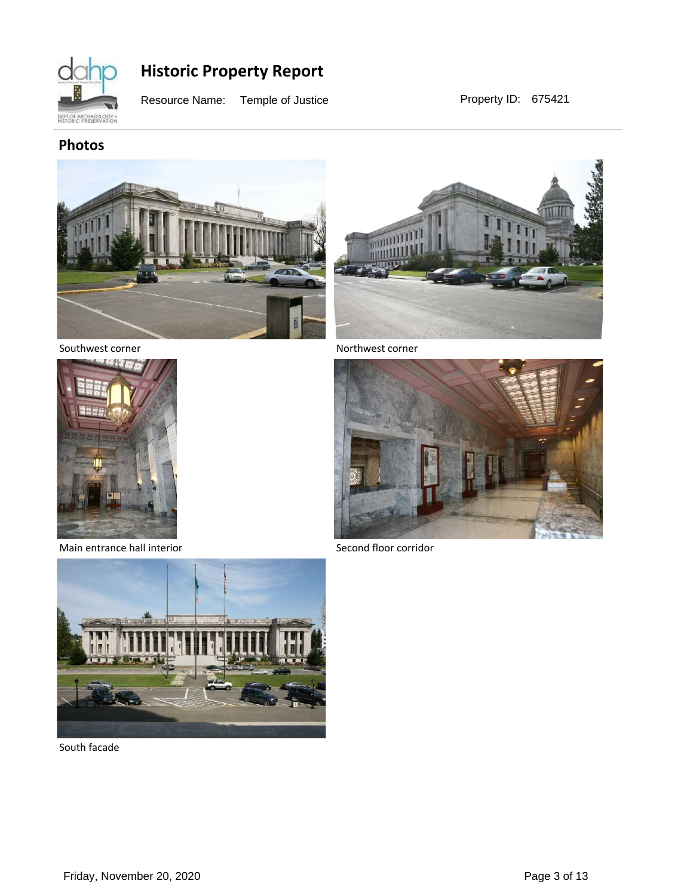

Resource Name: Temple of Justice **Property ID: 675421** 

### **Photos**





Southwest corner



Main entrance hall interior



Second floor corridor



South facade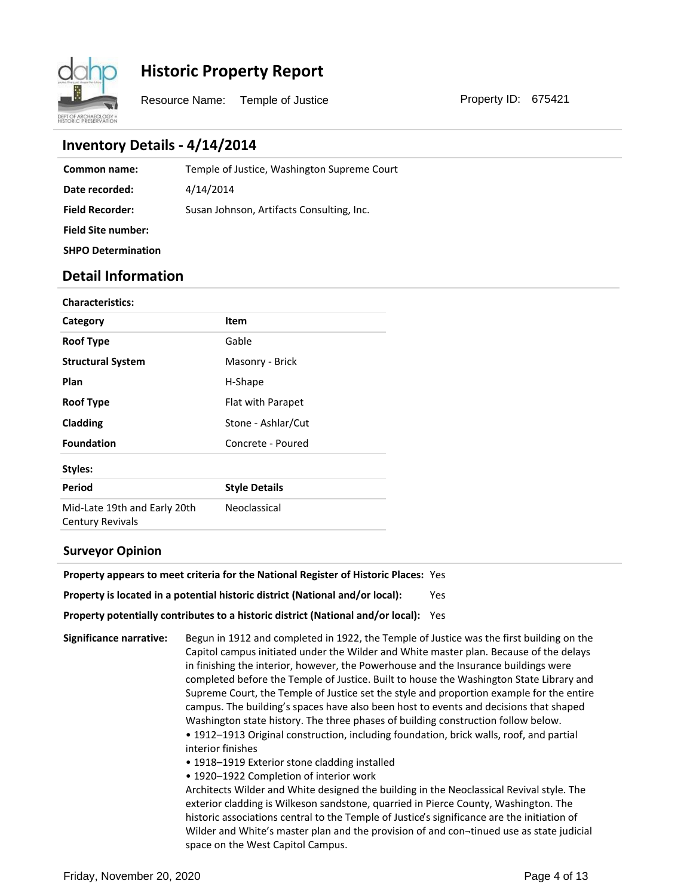

Resource Name: Temple of Justice **Property ID: 675421** 

### **Inventory Details - 4/14/2014**

| Common name:              | Temple of Justice, Washington Supreme Court |
|---------------------------|---------------------------------------------|
| Date recorded:            | 4/14/2014                                   |
| <b>Field Recorder:</b>    | Susan Johnson, Artifacts Consulting, Inc.   |
| <b>Field Site number:</b> |                                             |
| <b>SHPO Determination</b> |                                             |

### **Detail Information**

| <b>Characteristics:</b>                                 |                      |
|---------------------------------------------------------|----------------------|
| Category                                                | Item                 |
| <b>Roof Type</b>                                        | Gable                |
| <b>Structural System</b>                                | Masonry - Brick      |
| Plan                                                    | H-Shape              |
| <b>Roof Type</b>                                        | Flat with Parapet    |
| Cladding                                                | Stone - Ashlar/Cut   |
| <b>Foundation</b>                                       | Concrete - Poured    |
| Styles:                                                 |                      |
| Period                                                  | <b>Style Details</b> |
| Mid-Late 19th and Early 20th<br><b>Century Revivals</b> | Neoclassical         |

#### **Surveyor Opinion**

| <b>Property appears to meet criteria for the National Register of Historic Places: Yes</b> |     |
|--------------------------------------------------------------------------------------------|-----|
| Property is located in a potential historic district (National and/or local):              | Yes |
| Property potentially contributes to a historic district (National and/or local):           | Yes |

**Significance narrative:** Begun in 1912 and completed in 1922, the Temple of Justice was the first building on the Capitol campus initiated under the Wilder and White master plan. Because of the delays in finishing the interior, however, the Powerhouse and the Insurance buildings were completed before the Temple of Justice. Built to house the Washington State Library and Supreme Court, the Temple of Justice set the style and proportion example for the entire campus. The building͛s spaces have also been host to events and decisions that shaped Washington state history. The three phases of building construction follow below. • 1912-1913 Original construction, including foundation, brick walls, roof, and partial interior finishes

- 1918-1919 Exterior stone cladding installed
- 1920-1922 Completion of interior work

Architects Wilder and White designed the building in the Neoclassical Revival style. The exterior cladding is Wilkeson sandstone, quarried in Pierce County, Washington. The historic associations central to the Temple of Justice's significance are the initiation of Wilder and White's master plan and the provision of and con-tinued use as state judicial space on the West Capitol Campus.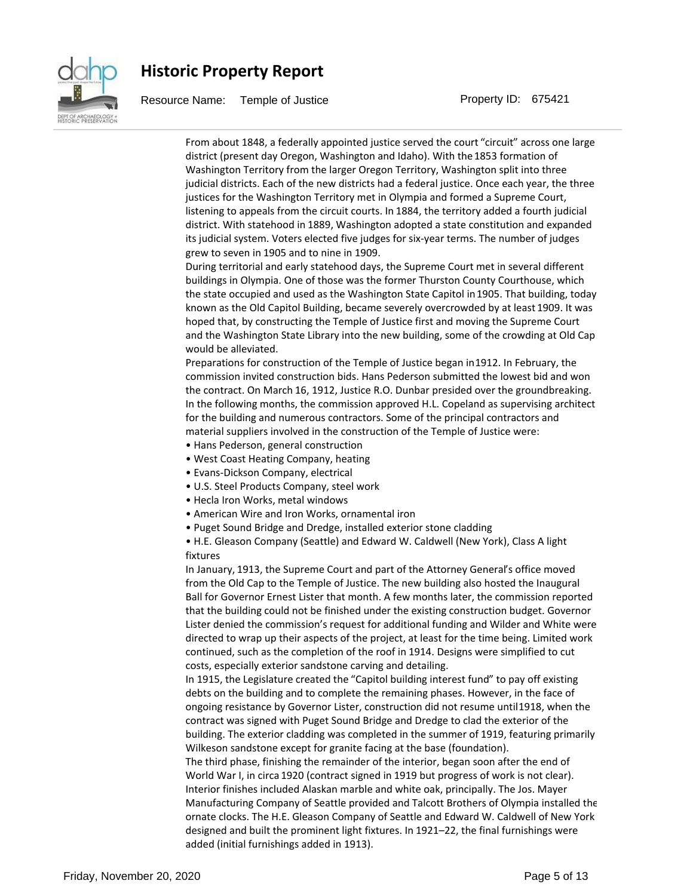

Resource Name: Temple of Justice **Property ID: 675421** 

From about 1848, a federally appointed justice served the court "circuit" across one large district (present day Oregon, Washington and Idaho). With the 1853 formation of Washington Territory from the larger Oregon Territory, Washington split into three judicial districts. Each of the new districts had a federal justice. Once each year, the three justices for the Washington Territory met in Olympia and formed a Supreme Court, listening to appeals from the circuit courts. In 1884, the territory added a fourth judicial district. With statehood in 1889, Washington adopted a state constitution and expanded its judicial system. Voters elected five judges for six-year terms. The number of judges grew to seven in 1905 and to nine in 1909.

During territorial and early statehood days, the Supreme Court met in several different buildings in Olympia. One of those was the former Thurston County Courthouse, which the state occupied and used as the Washington State Capitol in 1905. That building, today known as the Old Capitol Building, became severely overcrowded by at least 1909. It was hoped that, by constructing the Temple of Justice first and moving the Supreme Court and the Washington State Library into the new building, some of the crowding at Old Cap would be alleviated.

Preparations for construction of the Temple of Justice began in 1912. In February, the commission invited construction bids. Hans Pederson submitted the lowest bid and won the contract. On March 16, 1912, Justice R.O. Dunbar presided over the groundbreaking. In the following months, the commission approved H.L. Copeland as supervising architect for the building and numerous contractors. Some of the principal contractors and material suppliers involved in the construction of the Temple of Justice were:

- Hans Pederson, general construction
- West Coast Heating Company, heating
- Evans-Dickson Company, electrical
- U.S. Steel Products Company, steel work
- Hecla Iron Works, metal windows
- American Wire and Iron Works, ornamental iron
- Puget Sound Bridge and Dredge, installed exterior stone cladding

• H.E. Gleason Company (Seattle) and Edward W. Caldwell (New York), Class A light fixtures

In January, 1913, the Supreme Court and part of the Attorney General's office moved from the Old Cap to the Temple of Justice. The new building also hosted the Inaugural Ball for Governor Ernest Lister that month. A few months later, the commission reported that the building could not be finished under the existing construction budget. Governor Lister denied the commission's request for additional funding and Wilder and White were directed to wrap up their aspects of the project, at least for the time being. Limited work continued, such as the completion of the roof in 1914. Designs were simplified to cut costs, especially exterior sandstone carving and detailing.

In 1915, the Legislature created the "Capitol building interest fund" to pay off existing debts on the building and to complete the remaining phases. However, in the face of ongoing resistance by Governor Lister, construction did not resume until 1918, when the contract was signed with Puget Sound Bridge and Dredge to clad the exterior of the building. The exterior cladding was completed in the summer of 1919, featuring primarily Wilkeson sandstone except for granite facing at the base (foundation).

The third phase, finishing the remainder of the interior, began soon after the end of World War I, in circa 1920 (contract signed in 1919 but progress of work is not clear). Interior finishes included Alaskan marble and white oak, principally. The Jos. Mayer Manufacturing Company of Seattle provided and Talcott Brothers of Olympia installed the ornate clocks. The H.E. Gleason Company of Seattle and Edward W. Caldwell of New York designed and built the prominent light fixtures. In 1921–22, the final furnishings were added (initial furnishings added in 1913).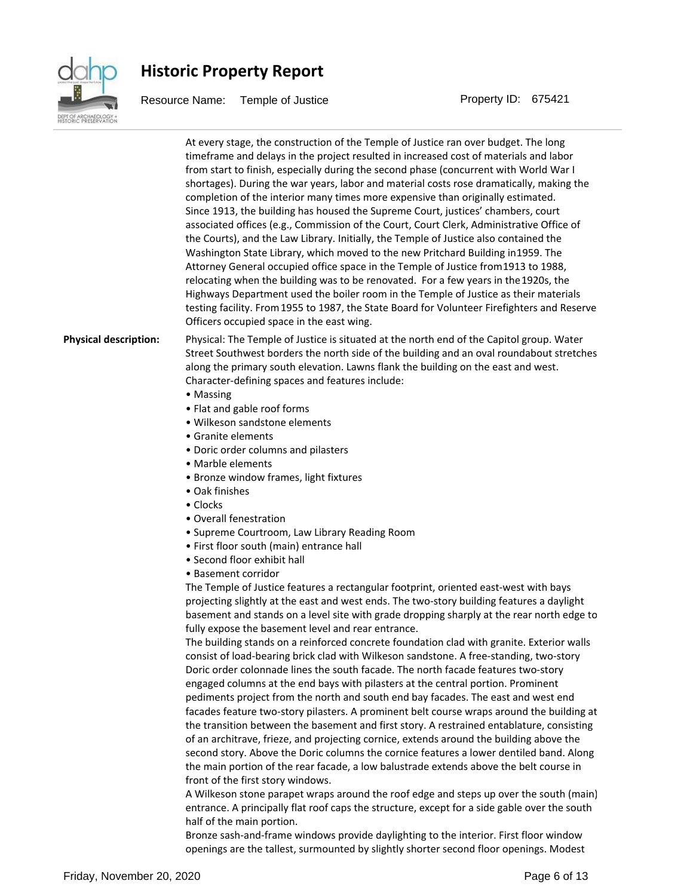

Resource Name: Temple of Justice **Property ID: 675421** 

At every stage, the construction of the Temple of Justice ran over budget. The long timeframe and delays in the project resulted in increased cost of materials and labor from start to finish, especially during the second phase (concurrent with World War I shortages). During the war years, labor and material costs rose dramatically, making the completion of the interior many times more expensive than originally estimated. Since 1913, the building has housed the Supreme Court, justices' chambers, court associated offices (e.g., Commission of the Court, Court Clerk, Administrative Office of the Courts), and the Law Library. Initially, the Temple of Justice also contained the Washington State Library, which moved to the new Pritchard Building in 1959. The Attorney General occupied office space in the Temple of Justice from 1913 to 1988, relocating when the building was to be renovated. For a few years in the 1920s, the Highways Department used the boiler room in the Temple of Justice as their materials testing facility. From 1955 to 1987, the State Board for Volunteer Firefighters and Reserve Officers occupied space in the east wing. **Physical description:** Physical: The Temple of Justice is situated at the north end of the Capitol group. Water Street Southwest borders the north side of the building and an oval roundabout stretches along the primary south elevation. Lawns flank the building on the east and west. Character-defining spaces and features include: • Massing • Flat and gable roof forms • Wilkeson sandstone elements • Granite elements • Doric order columns and pilasters • Marble elements • Bronze window frames, light fixtures ● Oak finishes • Clocks • Overall fenestration • Supreme Courtroom, Law Library Reading Room • First floor south (main) entrance hall • Second floor exhibit hall • Basement corridor The Temple of Justice features a rectangular footprint, oriented east-west with bays projecting slightly at the east and west ends. The two-story building features a daylight basement and stands on a level site with grade dropping sharply at the rear north edge to fully expose the basement level and rear entrance. The building stands on a reinforced concrete foundation clad with granite. Exterior walls consist of load-bearing brick clad with Wilkeson sandstone. A free-standing, two-story Doric order colonnade lines the south facade. The north facade features two-story engaged columns at the end bays with pilasters at the central portion. Prominent pediments project from the north and south end bay facades. The east and west end facades feature two-story pilasters. A prominent belt course wraps around the building at the transition between the basement and first story. A restrained entablature, consisting

> of an architrave, frieze, and projecting cornice, extends around the building above the second story. Above the Doric columns the cornice features a lower dentiled band. Along the main portion of the rear facade, a low balustrade extends above the belt course in front of the first story windows.

> A Wilkeson stone parapet wraps around the roof edge and steps up over the south (main) entrance. A principally flat roof caps the structure, except for a side gable over the south half of the main portion.

Bronze sash-and-frame windows provide daylighting to the interior. First floor window openings are the tallest, surmounted by slightly shorter second floor openings. Modest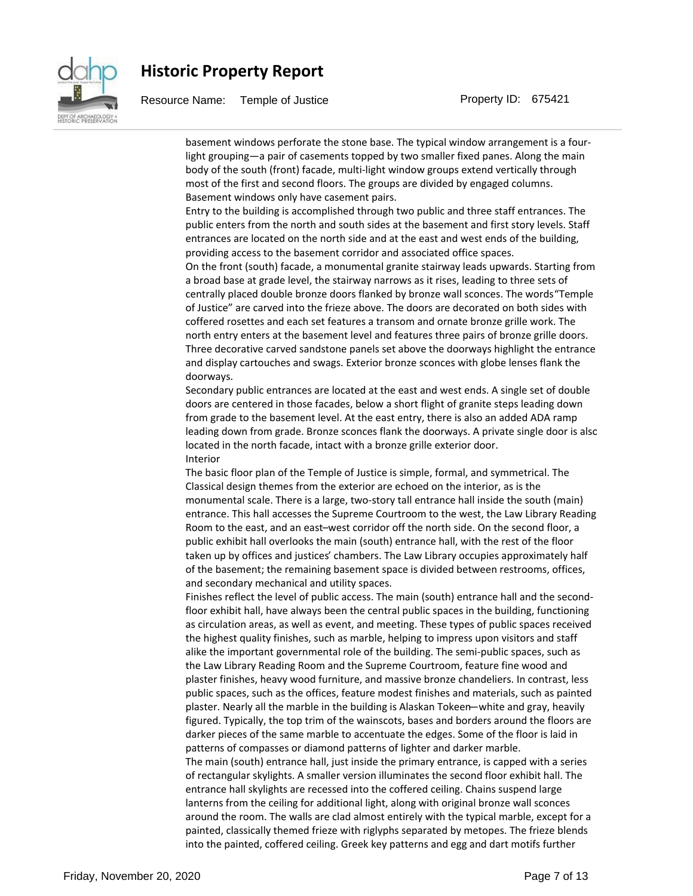

Resource Name: Temple of Justice **Property ID: 675421** 

basement windows perforate the stone base. The typical window arrangement is a fourlight grouping-a pair of casements topped by two smaller fixed panes. Along the main body of the south (front) facade, multi-light window groups extend vertically through most of the first and second floors. The groups are divided by engaged columns. Basement windows only have casement pairs.

Entry to the building is accomplished through two public and three staff entrances. The public enters from the north and south sides at the basement and first story levels. Staff entrances are located on the north side and at the east and west ends of the building, providing access to the basement corridor and associated office spaces.

On the front (south) facade, a monumental granite stairway leads upwards. Starting from a broad base at grade level, the stairway narrows as it rises, leading to three sets of centrally placed double bronze doors flanked by bronze wall sconces. The words "Temple of Justice͟are carved into the frieze above. The doors are decorated on both sides with coffered rosettes and each set features a transom and ornate bronze grille work. The north entry enters at the basement level and features three pairs of bronze grille doors. Three decorative carved sandstone panels set above the doorways highlight the entrance and display cartouches and swags. Exterior bronze sconces with globe lenses flank the doorways.

Secondary public entrances are located at the east and west ends. A single set of double doors are centered in those facades, below a short flight of granite steps leading down from grade to the basement level. At the east entry, there is also an added ADA ramp leading down from grade. Bronze sconces flank the doorways. A private single door is also located in the north facade, intact with a bronze grille exterior door. Interior

The basic floor plan of the Temple of Justice is simple, formal, and symmetrical. The Classical design themes from the exterior are echoed on the interior, as is the monumental scale. There is a large, two-story tall entrance hall inside the south (main) entrance. This hall accesses the Supreme Courtroom to the west, the Law Library Reading Room to the east, and an east-west corridor off the north side. On the second floor, a public exhibit hall overlooks the main (south) entrance hall, with the rest of the floor taken up by offices and justices' chambers. The Law Library occupies approximately half of the basement; the remaining basement space is divided between restrooms, offices, and secondary mechanical and utility spaces.

Finishes reflect the level of public access. The main (south) entrance hall and the secondfloor exhibit hall, have always been the central public spaces in the building, functioning as circulation areas, as well as event, and meeting. These types of public spaces received the highest quality finishes, such as marble, helping to impress upon visitors and staff alike the important governmental role of the building. The semi-public spaces, such as the Law Library Reading Room and the Supreme Courtroom, feature fine wood and plaster finishes, heavy wood furniture, and massive bronze chandeliers. In contrast, less public spaces, such as the offices, feature modest finishes and materials, such as painted plaster. Nearly all the marble in the building is Alaskan Tokeen—white and gray, heavily figured. Typically, the top trim of the wainscots, bases and borders around the floors are darker pieces of the same marble to accentuate the edges. Some of the floor is laid in patterns of compasses or diamond patterns of lighter and darker marble. The main (south) entrance hall, just inside the primary entrance, is capped with a series of rectangular skylights. A smaller version illuminates the second floor exhibit hall. The entrance hall skylights are recessed into the coffered ceiling. Chains suspend large lanterns from the ceiling for additional light, along with original bronze wall sconces around the room. The walls are clad almost entirely with the typical marble, except for a painted, classically themed frieze with riglyphs separated by metopes. The frieze blends into the painted, coffered ceiling. Greek key patterns and egg and dart motifs further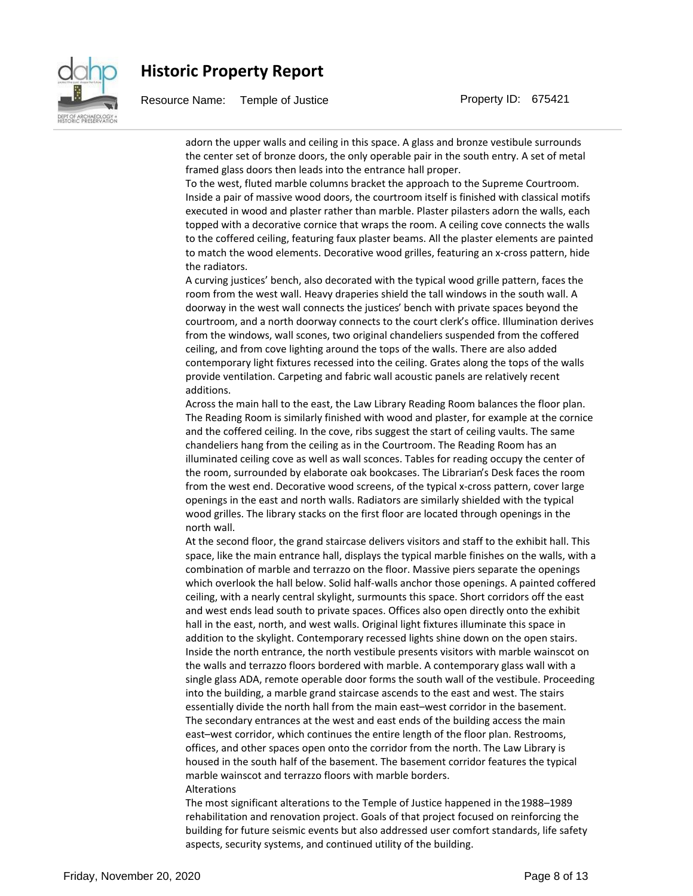

Resource Name: Temple of Justice **Property ID: 675421** 

adorn the upper walls and ceiling in this space. A glass and bronze vestibule surrounds the center set of bronze doors, the only operable pair in the south entry. A set of metal framed glass doors then leads into the entrance hall proper.

To the west, fluted marble columns bracket the approach to the Supreme Courtroom. Inside a pair of massive wood doors, the courtroom itself is finished with classical motifs executed in wood and plaster rather than marble. Plaster pilasters adorn the walls, each topped with a decorative cornice that wraps the room. A ceiling cove connects the walls to the coffered ceiling, featuring faux plaster beams. All the plaster elements are painted to match the wood elements. Decorative wood grilles, featuring an x-cross pattern, hide the radiators.

A curving justices' bench, also decorated with the typical wood grille pattern, faces the room from the west wall. Heavy draperies shield the tall windows in the south wall. A doorway in the west wall connects the justices' bench with private spaces beyond the courtroom, and a north doorway connects to the court clerk's office. Illumination derives from the windows, wall scones, two original chandeliers suspended from the coffered ceiling, and from cove lighting around the tops of the walls. There are also added contemporary light fixtures recessed into the ceiling. Grates along the tops of the walls provide ventilation. Carpeting and fabric wall acoustic panels are relatively recent additions.

Across the main hall to the east, the Law Library Reading Room balances the floor plan. The Reading Room is similarly finished with wood and plaster, for example at the cornice and the coffered ceiling. In the cove, ribs suggest the start of ceiling vaults. The same chandeliers hang from the ceiling as in the Courtroom. The Reading Room has an illuminated ceiling cove as well as wall sconces. Tables for reading occupy the center of the room, surrounded by elaborate oak bookcases. The Librarian͛s Desk faces the room from the west end. Decorative wood screens, of the typical x-cross pattern, cover large openings in the east and north walls. Radiators are similarly shielded with the typical wood grilles. The library stacks on the first floor are located through openings in the north wall.

At the second floor, the grand staircase delivers visitors and staff to the exhibit hall. This space, like the main entrance hall, displays the typical marble finishes on the walls, with a combination of marble and terrazzo on the floor. Massive piers separate the openings which overlook the hall below. Solid half-walls anchor those openings. A painted coffered ceiling, with a nearly central skylight, surmounts this space. Short corridors off the east and west ends lead south to private spaces. Offices also open directly onto the exhibit hall in the east, north, and west walls. Original light fixtures illuminate this space in addition to the skylight. Contemporary recessed lights shine down on the open stairs. Inside the north entrance, the north vestibule presents visitors with marble wainscot on the walls and terrazzo floors bordered with marble. A contemporary glass wall with a single glass ADA, remote operable door forms the south wall of the vestibule. Proceeding into the building, a marble grand staircase ascends to the east and west. The stairs essentially divide the north hall from the main east-west corridor in the basement. The secondary entrances at the west and east ends of the building access the main east-west corridor, which continues the entire length of the floor plan. Restrooms, offices, and other spaces open onto the corridor from the north. The Law Library is housed in the south half of the basement. The basement corridor features the typical marble wainscot and terrazzo floors with marble borders. Alterations

The most significant alterations to the Temple of Justice happened in the 1988–1989 rehabilitation and renovation project. Goals of that project focused on reinforcing the building for future seismic events but also addressed user comfort standards, life safety aspects, security systems, and continued utility of the building.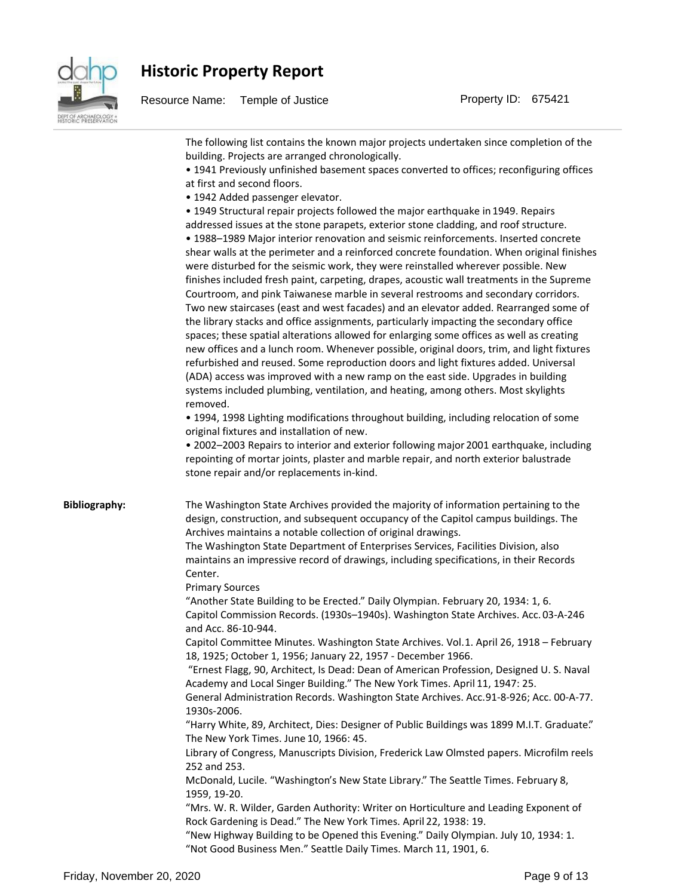

| The following list contains the known major projects undertaken since completion of the<br>building. Projects are arranged chronologically.<br>. 1941 Previously unfinished basement spaces converted to offices; reconfiguring offices                                                                                                                                                                                                                                                                                                                                                                                                                                                                                                                                                                                                                                                                                                                                                                                                                                                                                                                                                                                                                                                                                                                                                                                                                                                                                                                                                                                                                                                                                                |
|----------------------------------------------------------------------------------------------------------------------------------------------------------------------------------------------------------------------------------------------------------------------------------------------------------------------------------------------------------------------------------------------------------------------------------------------------------------------------------------------------------------------------------------------------------------------------------------------------------------------------------------------------------------------------------------------------------------------------------------------------------------------------------------------------------------------------------------------------------------------------------------------------------------------------------------------------------------------------------------------------------------------------------------------------------------------------------------------------------------------------------------------------------------------------------------------------------------------------------------------------------------------------------------------------------------------------------------------------------------------------------------------------------------------------------------------------------------------------------------------------------------------------------------------------------------------------------------------------------------------------------------------------------------------------------------------------------------------------------------|
| at first and second floors.<br>· 1942 Added passenger elevator.<br>• 1949 Structural repair projects followed the major earthquake in 1949. Repairs<br>addressed issues at the stone parapets, exterior stone cladding, and roof structure.<br>· 1988-1989 Major interior renovation and seismic reinforcements. Inserted concrete<br>shear walls at the perimeter and a reinforced concrete foundation. When original finishes<br>were disturbed for the seismic work, they were reinstalled wherever possible. New<br>finishes included fresh paint, carpeting, drapes, acoustic wall treatments in the Supreme<br>Courtroom, and pink Taiwanese marble in several restrooms and secondary corridors.<br>Two new staircases (east and west facades) and an elevator added. Rearranged some of<br>the library stacks and office assignments, particularly impacting the secondary office<br>spaces; these spatial alterations allowed for enlarging some offices as well as creating<br>new offices and a lunch room. Whenever possible, original doors, trim, and light fixtures<br>refurbished and reused. Some reproduction doors and light fixtures added. Universal<br>(ADA) access was improved with a new ramp on the east side. Upgrades in building<br>systems included plumbing, ventilation, and heating, among others. Most skylights<br>removed.<br>. 1994, 1998 Lighting modifications throughout building, including relocation of some<br>original fixtures and installation of new.<br>. 2002-2003 Repairs to interior and exterior following major 2001 earthquake, including<br>repointing of mortar joints, plaster and marble repair, and north exterior balustrade<br>stone repair and/or replacements in-kind. |
| The Washington State Archives provided the majority of information pertaining to the<br>design, construction, and subsequent occupancy of the Capitol campus buildings. The<br>Archives maintains a notable collection of original drawings.                                                                                                                                                                                                                                                                                                                                                                                                                                                                                                                                                                                                                                                                                                                                                                                                                                                                                                                                                                                                                                                                                                                                                                                                                                                                                                                                                                                                                                                                                           |
| The Washington State Department of Enterprises Services, Facilities Division, also<br>maintains an impressive record of drawings, including specifications, in their Records<br>Center.                                                                                                                                                                                                                                                                                                                                                                                                                                                                                                                                                                                                                                                                                                                                                                                                                                                                                                                                                                                                                                                                                                                                                                                                                                                                                                                                                                                                                                                                                                                                                |
| <b>Primary Sources</b><br>"Another State Building to be Erected." Daily Olympian. February 20, 1934: 1, 6.<br>Capitol Commission Records. (1930s-1940s). Washington State Archives. Acc. 03-A-246<br>and Acc. 86-10-944.                                                                                                                                                                                                                                                                                                                                                                                                                                                                                                                                                                                                                                                                                                                                                                                                                                                                                                                                                                                                                                                                                                                                                                                                                                                                                                                                                                                                                                                                                                               |
| Capitol Committee Minutes. Washington State Archives. Vol.1. April 26, 1918 - February<br>18, 1925; October 1, 1956; January 22, 1957 - December 1966.<br>"Ernest Flagg, 90, Architect, Is Dead: Dean of American Profession, Designed U. S. Naval<br>Academy and Local Singer Building." The New York Times. April 11, 1947: 25.<br>General Administration Records. Washington State Archives. Acc. 91-8-926; Acc. 00-A-77.<br>1930s-2006.                                                                                                                                                                                                                                                                                                                                                                                                                                                                                                                                                                                                                                                                                                                                                                                                                                                                                                                                                                                                                                                                                                                                                                                                                                                                                            |
| "Harry White, 89, Architect, Dies: Designer of Public Buildings was 1899 M.I.T. Graduate"<br>The New York Times. June 10, 1966: 45.                                                                                                                                                                                                                                                                                                                                                                                                                                                                                                                                                                                                                                                                                                                                                                                                                                                                                                                                                                                                                                                                                                                                                                                                                                                                                                                                                                                                                                                                                                                                                                                                    |
| Library of Congress, Manuscripts Division, Frederick Law Olmsted papers. Microfilm reels<br>252 and 253.<br>McDonald, Lucile. "Washington's New State Library." The Seattle Times. February 8,                                                                                                                                                                                                                                                                                                                                                                                                                                                                                                                                                                                                                                                                                                                                                                                                                                                                                                                                                                                                                                                                                                                                                                                                                                                                                                                                                                                                                                                                                                                                         |
| 1959, 19-20.<br>"Mrs. W. R. Wilder, Garden Authority: Writer on Horticulture and Leading Exponent of<br>Rock Gardening is Dead." The New York Times. April 22, 1938: 19.                                                                                                                                                                                                                                                                                                                                                                                                                                                                                                                                                                                                                                                                                                                                                                                                                                                                                                                                                                                                                                                                                                                                                                                                                                                                                                                                                                                                                                                                                                                                                               |
|                                                                                                                                                                                                                                                                                                                                                                                                                                                                                                                                                                                                                                                                                                                                                                                                                                                                                                                                                                                                                                                                                                                                                                                                                                                                                                                                                                                                                                                                                                                                                                                                                                                                                                                                        |

"New Highway Building to be Opened this Evening." Daily Olympian. July 10, 1934: 1. ͞Not Good Business Men.͟Seattle Daily Times. March 11, 1901, 6.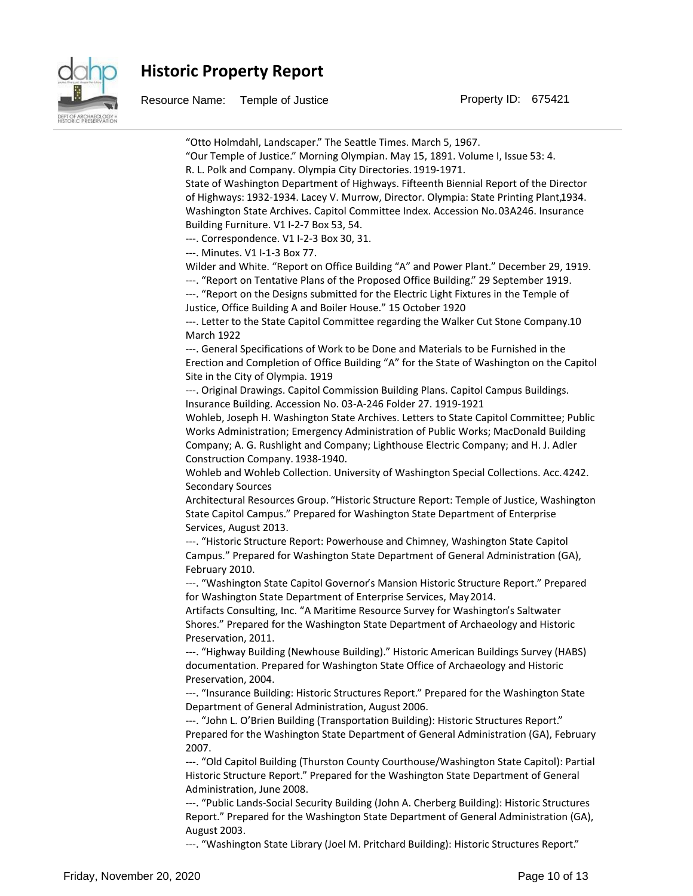

Resource Name: Temple of Justice **Property ID: 675421** 

͞Otto Holmdahl, Landscaper.͟The Seattle Times. March 5, 1967. ͞Our Temple of Justice.͟Morning Olympian. May 15, 1891. Volume I, Issue 53: 4. R. L. Polk and Company. Olympia City Directories. 1919-1971. State of Washington Department of Highways. Fifteenth Biennial Report of the Director of Highways: 1932-1934. Lacey V. Murrow, Director. Olympia: State Printing Plant, 1934. Washington State Archives. Capitol Committee Index. Accession No. 03A246. Insurance Building Furniture. V1 I-2-7 Box 53, 54. ---. Correspondence. V1 I-2-3 Box 30, 31. ---. Minutes. V1 I-1-3 Box 77. Wilder and White. "Report on Office Building "A" and Power Plant." December 29, 1919. ---. "Report on Tentative Plans of the Proposed Office Building." 29 September 1919. ---. "Report on the Designs submitted for the Electric Light Fixtures in the Temple of Justice, Office Building A and Boiler House.<sup>™</sup> 15 October 1920 ---. Letter to the State Capitol Committee regarding the Walker Cut Stone Company. 10 March 1922 ---. General Specifications of Work to be Done and Materials to be Furnished in the Erection and Completion of Office Building "A" for the State of Washington on the Capitol Site in the City of Olympia. 1919 ---. Original Drawings. Capitol Commission Building Plans. Capitol Campus Buildings. Insurance Building. Accession No. 03-A-246 Folder 27. 1919-1921 Wohleb, Joseph H. Washington State Archives. Letters to State Capitol Committee; Public Works Administration; Emergency Administration of Public Works; MacDonald Building Company; A. G. Rushlight and Company; Lighthouse Electric Company; and H. J. Adler Construction Company. 1938-1940. Wohleb and Wohleb Collection. University of Washington Special Collections. Acc. 4242. Secondary Sources Architectural Resources Group. "Historic Structure Report: Temple of Justice, Washington State Capitol Campus.<sup>™</sup> Prepared for Washington State Department of Enterprise Services, August 2013. ---. "Historic Structure Report: Powerhouse and Chimney, Washington State Capitol Campus.<sup>"</sup> Prepared for Washington State Department of General Administration (GA), February 2010. ---. "Washington State Capitol Governor's Mansion Historic Structure Report." Prepared for Washington State Department of Enterprise Services, May 2014. Artifacts Consulting, Inc. "A Maritime Resource Survey for Washington's Saltwater Shores.<sup>"</sup> Prepared for the Washington State Department of Archaeology and Historic Preservation, 2011. ---. "Highway Building (Newhouse Building)." Historic American Buildings Survey (HABS) documentation. Prepared for Washington State Office of Archaeology and Historic Preservation, 2004. ---. "Insurance Building: Historic Structures Report." Prepared for the Washington State Department of General Administration, August 2006. ---. "John L. O'Brien Building (Transportation Building): Historic Structures Report." Prepared for the Washington State Department of General Administration (GA), February 2007. ---. "Old Capitol Building (Thurston County Courthouse/Washington State Capitol): Partial Historic Structure Report.<sup>"</sup> Prepared for the Washington State Department of General Administration, June 2008. ---. "Public Lands-Social Security Building (John A. Cherberg Building): Historic Structures Report.<sup>"</sup> Prepared for the Washington State Department of General Administration (GA), August 2003. ---. "Washington State Library (Joel M. Pritchard Building): Historic Structures Report."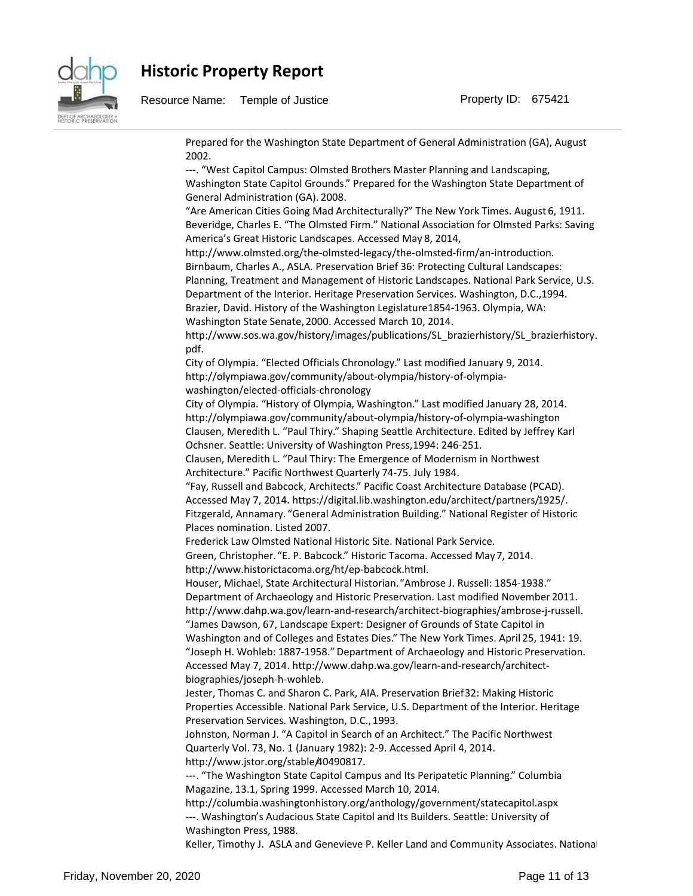

Prepared for the Washington State Department of General Administration (GA), August 2002. ---. "West Capitol Campus: Olmsted Brothers Master Planning and Landscaping, Washington State Capitol Grounds.<sup>™</sup> Prepared for the Washington State Department of General Administration (GA). 2008. ͞Are American Cities Going Mad Architecturally?͟The New York Times. August 6, 1911. Beveridge, Charles E. "The Olmsted Firm." National Association for Olmsted Parks: Saving America's Great Historic Landscapes. Accessed May 8, 2014, http://www.olmsted.org/the-olmsted-legacy/the-olmsted-firm/an-introduction. Birnbaum, Charles A., ASLA. Preservation Brief 36: Protecting Cultural Landscapes: Planning, Treatment and Management of Historic Landscapes. National Park Service, U.S. Department of the Interior. Heritage Preservation Services. Washington, D.C., 1994. Brazier, David. History of the Washington Legislature 1854-1963. Olympia, WA: Washington State Senate, 2000. Accessed March 10, 2014. http://www.sos.wa.gov/history/images/publications/SL\_brazierhistory/SL\_brazierhistory. pdf. City of Olympia. "Elected Officials Chronology." Last modified January 9, 2014. http://olympiawa.gov/community/about-olympia/history-of-olympiawashington/elected-officials-chronology City of Olympia. "History of Olympia, Washington." Last modified January 28, 2014. http://olympiawa.gov/community/about-olympia/history-of-olympia-washington Clausen, Meredith L. ͞Paul Thiry.͟Shaping Seattle Architecture. Edited by Jeffrey Karl Ochsner. Seattle: University of Washington Press, 1994: 246-251. Clausen, Meredith L. "Paul Thiry: The Emergence of Modernism in Northwest Architecture." Pacific Northwest Quarterly 74-75. July 1984. ͞Fay, Russell and Babcock, Architects.͟Pacific Coast Architecture Database (PCAD). Accessed May 7, 2014. https://digital.lib.washington.edu/architect/partners/1925/. Fitzgerald, Annamary. "General Administration Building." National Register of Historic Places nomination. Listed 2007. Frederick Law Olmsted National Historic Site. National Park Service. Green, Christopher. "E. P. Babcock." Historic Tacoma. Accessed May 7, 2014. http://www.historictacoma.org/ht/ep-babcock.html. Houser, Michael, State Architectural Historian. "Ambrose J. Russell: 1854-1938." Department of Archaeology and Historic Preservation. Last modified November 2011. http://www.dahp.wa.gov/learn-and-research/architect-biographies/ambrose-j-russell. "James Dawson, 67, Landscape Expert: Designer of Grounds of State Capitol in Washington and of Colleges and Estates Dies.<sup>™</sup> The New York Times. April 25, 1941: 19. ͞Joseph H. Wohleb: 1887-1958͘͟Department of Archaeology and Historic Preservation. Accessed May 7, 2014. http://www.dahp.wa.gov/learn-and-research/architectbiographies/joseph-h-wohleb. Jester, Thomas C. and Sharon C. Park, AIA. Preservation Brief 32: Making Historic Properties Accessible. National Park Service, U.S. Department of the Interior. Heritage Preservation Services. Washington, D.C., 1993. Johnston, Norman J. "A Capitol in Search of an Architect." The Pacific Northwest Quarterly Vol. 73, No. 1 (January 1982): 2-9. Accessed April 4, 2014. http://www.jstor.org/stable/40490817. ---. "The Washington State Capitol Campus and Its Peripatetic Planning." Columbia Magazine, 13.1, Spring 1999. Accessed March 10, 2014. http://columbia.washingtonhistory.org/anthology/government/statecapitol.aspx ---. Washington͛s Audacious State Capitol and Its Builders. Seattle: University of Washington Press, 1988.

Keller, Timothy J. ASLA and Genevieve P. Keller Land and Community Associates. National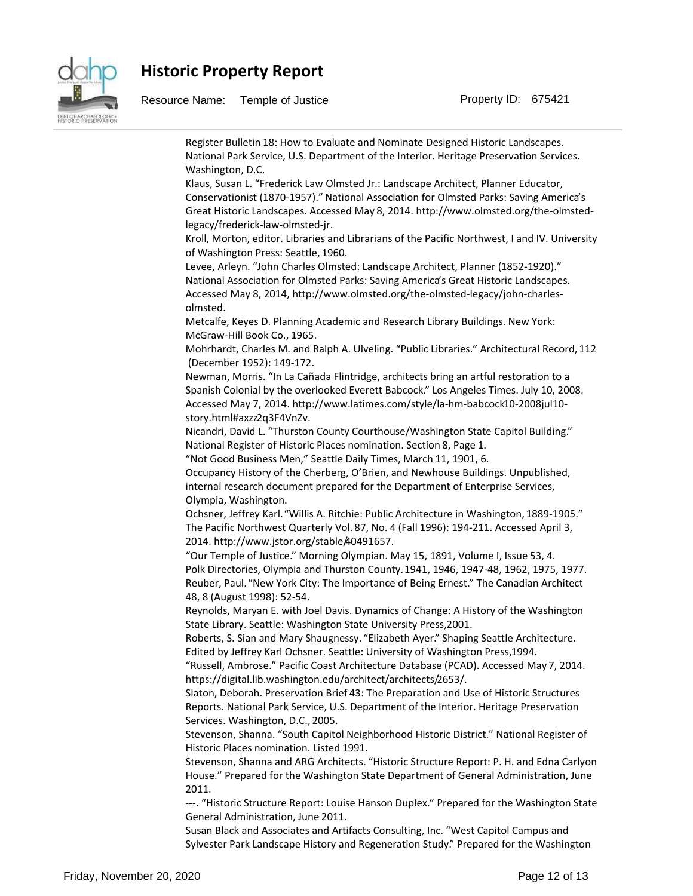

Resource Name: Temple of Justice **Property ID: 675421** 

Register Bulletin 18: How to Evaluate and Nominate Designed Historic Landscapes. National Park Service, U.S. Department of the Interior. Heritage Preservation Services. Washington, D.C. Klaus, Susan L. ͞Frederick Law Olmsted Jr.: Landscape Architect, Planner Educator, Conservationist (1870-1957)." National Association for Olmsted Parks: Saving America's Great Historic Landscapes. Accessed May 8, 2014. http://www.olmsted.org/the-olmstedlegacy/frederick-law-olmsted-jr. Kroll, Morton, editor. Libraries and Librarians of the Pacific Northwest, I and IV. University of Washington Press: Seattle, 1960. Levee, Arleyn. "John Charles Olmsted: Landscape Architect, Planner (1852-1920)." National Association for Olmsted Parks: Saving America's Great Historic Landscapes. Accessed May 8, 2014, http://www.olmsted.org/the-olmsted-legacy/john-charlesolmsted. Metcalfe, Keyes D. Planning Academic and Research Library Buildings. New York: McGraw-Hill Book Co., 1965. Mohrhardt, Charles M. and Ralph A. Ulveling. "Public Libraries." Architectural Record, 112 (December 1952): 149-172. Newman, Morris. "In La Cañada Flintridge, architects bring an artful restoration to a Spanish Colonial by the overlooked Everett Babcock." Los Angeles Times. July 10, 2008. Accessed May 7, 2014. http://www.latimes.com/style/la-hm-babcock10-2008jul10 story.html#axzz2q3F4VnZv. Nicandri, David L. "Thurston County Courthouse/Washington State Capitol Building." National Register of Historic Places nomination. Section 8, Page 1. "Not Good Business Men," Seattle Daily Times, March 11, 1901, 6. Occupancy History of the Cherberg, O'Brien, and Newhouse Buildings. Unpublished, internal research document prepared for the Department of Enterprise Services, Olympia, Washington. Ochsner, Jeffrey Karl. "Willis A. Ritchie: Public Architecture in Washington, 1889-1905." The Pacific Northwest Quarterly Vol. 87, No. 4 (Fall 1996): 194-211. Accessed April 3, 2014. http://www.jstor.org/stable/40491657. ͞Our Temple of Justice.͟Morning Olympian. May 15, 1891, Volume I, Issue 53, 4. Polk Directories, Olympia and Thurston County. 1941, 1946, 1947-48, 1962, 1975, 1977. Reuber, Paul. "New York City: The Importance of Being Ernest." The Canadian Architect 48, 8 (August 1998): 52-54. Reynolds, Maryan E. with Joel Davis. Dynamics of Change: A History of the Washington State Library. Seattle: Washington State University Press, 2001. Roberts, S. Sian and Mary Shaugnessy. "Elizabeth Ayer." Shaping Seattle Architecture. Edited by Jeffrey Karl Ochsner. Seattle: University of Washington Press, 1994. ͞Russell, Ambrose.͟Pacific Coast Architecture Database (PCAD). Accessed May 7, 2014. https://digital.lib.washington.edu/architect/architects/2653/. Slaton, Deborah. Preservation Brief 43: The Preparation and Use of Historic Structures Reports. National Park Service, U.S. Department of the Interior. Heritage Preservation Services. Washington, D.C., 2005. Stevenson, Shanna. "South Capitol Neighborhood Historic District." National Register of Historic Places nomination. Listed 1991. Stevenson, Shanna and ARG Architects. "Historic Structure Report: P. H. and Edna Carlyon House." Prepared for the Washington State Department of General Administration, June 2011. ---. "Historic Structure Report: Louise Hanson Duplex." Prepared for the Washington State General Administration, June 2011.

Susan Black and Associates and Artifacts Consulting, Inc. "West Capitol Campus and Sylvester Park Landscape History and Regeneration Study.<sup>™</sup> Prepared for the Washington